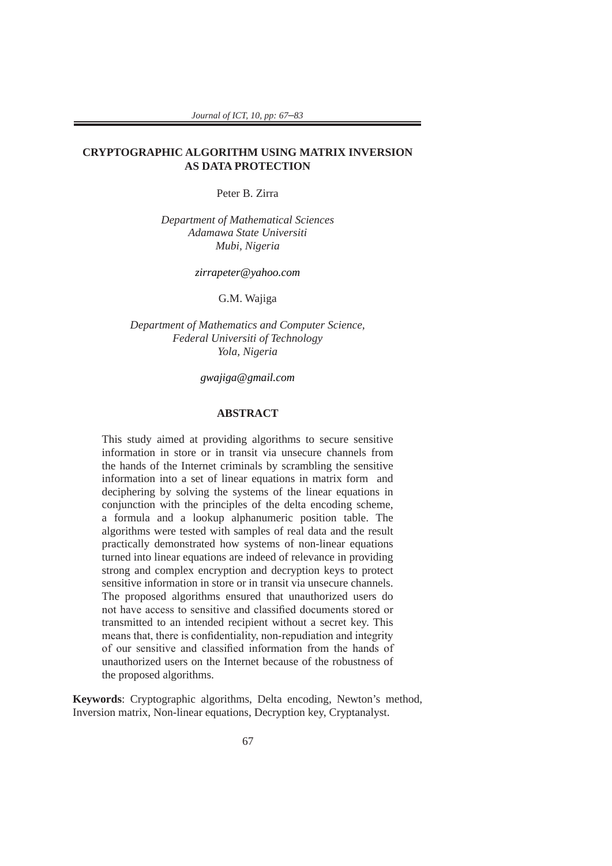*Journal of ICT, 10, pp: 67*–*83*

### **CRYPTOGRAPHIC ALGORITHM USING MATRIX INVERSION AS DATA PROTECTION**

Peter B. Zirra

*Department of Mathematical Sciences Adamawa State Universiti Mubi, Nigeria*

*zirrapeter@yahoo.com*

G.M. Wajiga

*Department of Mathematics and Computer Science, Federal Universiti of Technology Yola, Nigeria*

*gwajiga@gmail.com*

### **ABSTRACT**

This study aimed at providing algorithms to secure sensitive information in store or in transit via unsecure channels from the hands of the Internet criminals by scrambling the sensitive information into a set of linear equations in matrix form and deciphering by solving the systems of the linear equations in conjunction with the principles of the delta encoding scheme, a formula and a lookup alphanumeric position table. The algorithms were tested with samples of real data and the result practically demonstrated how systems of non-linear equations turned into linear equations are indeed of relevance in providing strong and complex encryption and decryption keys to protect sensitive information in store or in transit via unsecure channels. The proposed algorithms ensured that unauthorized users do not have access to sensitive and classified documents stored or transmitted to an intended recipient without a secret key. This means that, there is confidentiality, non-repudiation and integrity of our sensitive and classified information from the hands of unauthorized users on the Internet because of the robustness of the proposed algorithms.

**Keywords**: Cryptographic algorithms, Delta encoding, Newton's method, Inversion matrix, Non-linear equations, Decryption key, Cryptanalyst.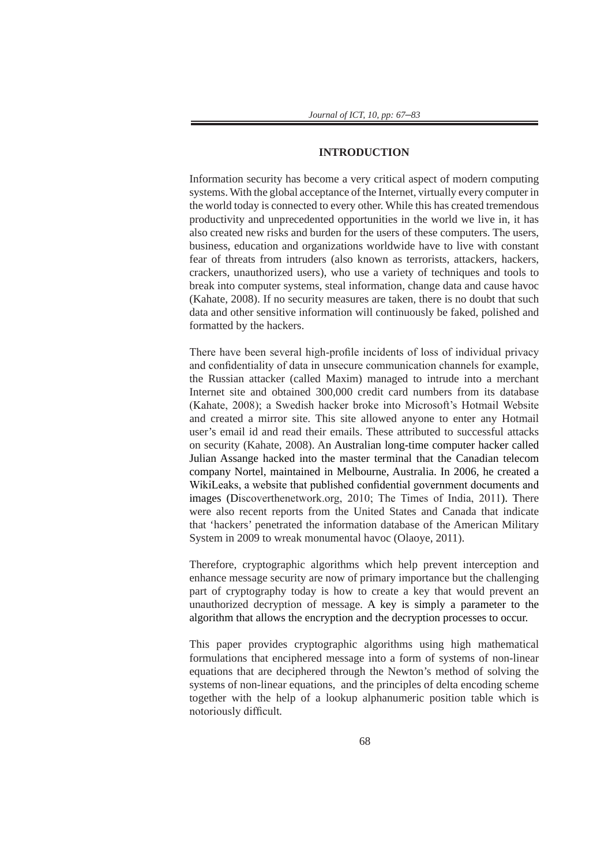### **INTRODUCTION**

Information security has become a very critical aspect of modern computing systems. With the global acceptance of the Internet, virtually every computer in the world today is connected to every other. While this has created tremendous productivity and unprecedented opportunities in the world we live in, it has also created new risks and burden for the users of these computers. The users, business, education and organizations worldwide have to live with constant fear of threats from intruders (also known as terrorists, attackers, hackers, crackers, unauthorized users), who use a variety of techniques and tools to break into computer systems, steal information, change data and cause havoc (Kahate, 2008). If no security measures are taken, there is no doubt that such data and other sensitive information will continuously be faked, polished and formatted by the hackers.

There have been several high-profile incidents of loss of individual privacy and confidentiality of data in unsecure communication channels for example, the Russian attacker (called Maxim) managed to intrude into a merchant Internet site and obtained 300,000 credit card numbers from its database (Kahate, 2008); a Swedish hacker broke into Microsoft's Hotmail Website and created a mirror site. This site allowed anyone to enter any Hotmail user's email id and read their emails. These attributed to successful attacks on security (Kahate, 2008). An Australian long-time computer hacker called Julian Assange hacked into the master terminal that the Canadian telecom company Nortel, maintained in Melbourne, Australia. In 2006, he created a WikiLeaks, a website that published confidential government documents and images (Discoverthenetwork.org, 2010; The Times of India, 2011). There were also recent reports from the United States and Canada that indicate that 'hackers' penetrated the information database of the American Military System in 2009 to wreak monumental havoc (Olaoye, 2011).

Therefore, cryptographic algorithms which help prevent interception and enhance message security are now of primary importance but the challenging part of cryptography today is how to create a key that would prevent an unauthorized decryption of message. A key is simply a parameter to the algorithm that allows the encryption and the decryption processes to occur.

This paper provides cryptographic algorithms using high mathematical formulations that enciphered message into a form of systems of non-linear equations that are deciphered through the Newton's method of solving the systems of non-linear equations, and the principles of delta encoding scheme together with the help of a lookup alphanumeric position table which is notoriously difficult*.*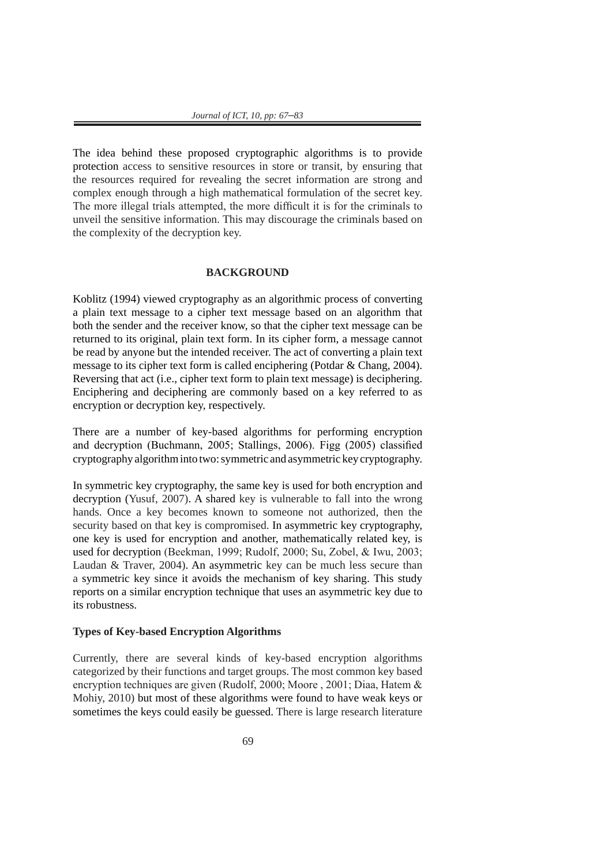The idea behind these proposed cryptographic algorithms is to provide protection access to sensitive resources in store or transit, by ensuring that the resources required for revealing the secret information are strong and complex enough through a high mathematical formulation of the secret key. The more illegal trials attempted, the more difficult it is for the criminals to unveil the sensitive information. This may discourage the criminals based on the complexity of the decryption key.

### **BACKGROUND**

Koblitz (1994) viewed cryptography as an algorithmic process of converting a plain text message to a cipher text message based on an algorithm that both the sender and the receiver know, so that the cipher text message can be returned to its original, plain text form. In its cipher form, a message cannot be read by anyone but the intended receiver. The act of converting a plain text message to its cipher text form is called enciphering (Potdar & Chang, 2004). Reversing that act (i.e., cipher text form to plain text message) is deciphering. Enciphering and deciphering are commonly based on a key referred to as encryption or decryption key, respectively.

There are a number of key-based algorithms for performing encryption and decryption (Buchmann, 2005; Stallings, 2006). Figg (2005) classified cryptography algorithm into two: symmetric and asymmetric key cryptography.

In symmetric key cryptography, the same key is used for both encryption and decryption (Yusuf, 2007). A shared key is vulnerable to fall into the wrong hands. Once a key becomes known to someone not authorized, then the security based on that key is compromised. In asymmetric key cryptography, one key is used for encryption and another, mathematically related key, is used for decryption (Beekman, 1999; Rudolf, 2000; Su, Zobel, & Iwu, 2003; Laudan & Traver, 2004). An asymmetric key can be much less secure than a symmetric key since it avoids the mechanism of key sharing. This study reports on a similar encryption technique that uses an asymmetric key due to its robustness.

### **Types of Key-based Encryption Algorithms**

Currently, there are several kinds of key-based encryption algorithms categorized by their functions and target groups. The most common key based encryption techniques are given (Rudolf, 2000; Moore , 2001; Diaa, Hatem & Mohiy, 2010) but most of these algorithms were found to have weak keys or sometimes the keys could easily be guessed. There is large research literature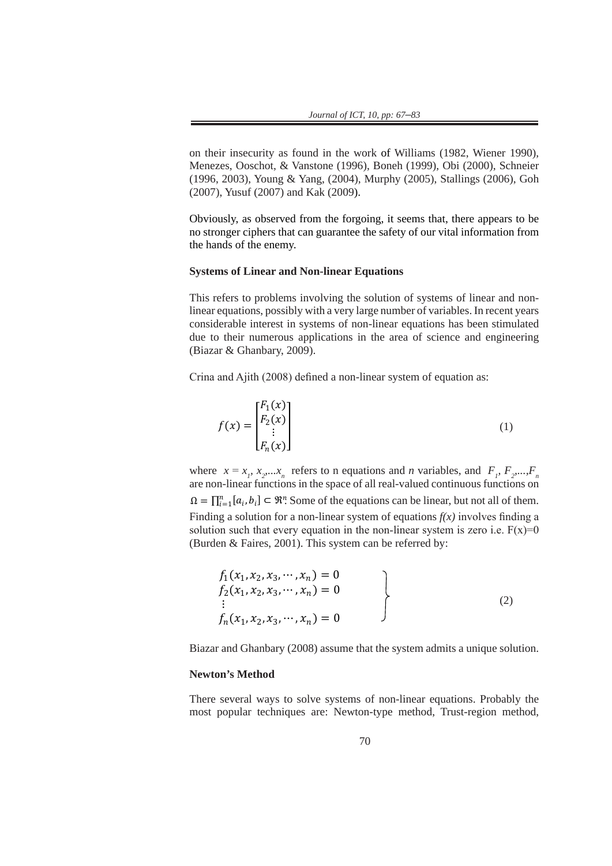on their insecurity as found in the work of Williams (1982, Wiener 1990), Menezes, Ooschot, & Vanstone (1996), Boneh (1999), Obi (2000), Schneier (1996),  $\frac{1}{2}$ (1996, 2003), Young & Yang, (2004), Murphy (2005), Stallings (2006), Goh (2007), Yusuf (2007) and Kak (2009).  $\overline{a}$  $(199$ stronger ciphers that can guarantee the safety of our vital information from the hands

> Obviously, as observed from the forgoing, it seems that, there appears to be no stronger ciphers that can guarantee the safety of our vital information from the hands of the enemy.

# **Systems of Linear and Non-linear Equations**

This refers to problems involving the solution of systems of linear and nonlinear equations, possibly with a very large number of variables. In recent years considerable interest in systems of non-linear equations has been stimulated due to their numerous applications in the area of science and engineering (Biazar  $\&$  Ghanbary, 2009). This refers to problems involving the system of  $\Gamma$ externalizations, possibly with a very large number of variables. In recent years considerables. In recent years considerables. In recent years considerables. In recent years considerables. In recent years considerables. I  $\overline{\text{u}}$ interest in systems of non-linear equations has been stimulated due to the interest in  $\overline{\text{u}}$  numerous  $\overline{\text{u}}$  numerous  $\overline{\text{u}}$  numerous  $\overline{\text{u}}$  numerous  $\overline{\text{u}}$  numerous  $\overline{\text{u}}$  numerous  $\overline$ applications in the area of science and engineering (Biazar & Ghanbary, 2000).

> Crina and Ajith (2008) defined a non-linear system of equation as: 3) defined a non-linear system of equation as:

$$
f(x) = \begin{bmatrix} F_1(x) \\ F_2(x) \\ \vdots \\ F_n(x) \end{bmatrix}
$$
 (1)

where  $x = x_1, x_2, \ldots, x_n$  refers to n equations and *n* variables, and  $F_1, F_2, \ldots, F_n$ where  $x = x_p$ ,  $x_p$ ,  $x_p$ ,  $x_n$  refers to in equations and *n* variables, and  $P_p$ ,  $P_2$ ,  $P_n$ ,  $P_n$  are non-linear functions in the space of all real-valued continuous functions on  $\Omega = \prod_{i=1}^{n} [a_i, b_i] \subset \mathbb{R}^n$ . Some of the equations can be linear, but not all of them. Finding a solution for a non-linear system of equations  $f(x)$  involves finding a solution such that every equation in the non-linear system is zero i.e.  $F(x)=0$ (Burden & Faires, 2001). This system can be referred by: solution for a non-linear system of equations *f(x)* involves finding a solution such that where  $\frac{1}{2}$  are n  $\Omega =$  $\frac{1}{2}$  and  $\frac{1}{2}$  . Solutions can be linear, but not all of them. Finding all of them. Finding all of them. Finding all of the m. solution for a non-linear system of equations *f(x)* involves finding a solution such that  $\prod_{i=1}^{n} [a_i, b_i] \subset \mathbb{R}^n$ . Some of the equations can be linear, but not all of them.  $\alpha$  is an  $\alpha$ ,  $\alpha$ <sub>i</sub>,  $\alpha$ <sub>i</sub>,  $\alpha$ <sub>i</sub>  $\alpha$ <sub>i</sub>,  $\alpha$ <sub>i</sub>  $\alpha$ <sub>i</sub>  $\alpha$ <sub>i</sub>  $\alpha$ <sub>i</sub>  $\alpha$ <sub>i</sub>  $\alpha$ <sub>i</sub>  $\alpha$ <sub>i</sub>  $\alpha$ <sub>i</sub>  $\alpha$ <sub>i</sub>  $\alpha$ <sub>i</sub>  $\alpha$ <sub>i</sub>  $\alpha$ <sub>i</sub>  $\alpha$ <sub>i</sub>  $\alpha$ <sub>i</sub>  $\alpha$ <sub>i</sub>  $\alpha$ <sub>i</sub>  $\alpha$ <sub>i</sub>  $\alpha$ <sub>i</sub>  $\alpha$ <sub>i</sub>  $\alpha$ <sub>i</sub>  $\alpha$ <sub>i</sub>

$$
f_1(x_1, x_2, x_3, \cdots, x_n) = 0
$$
  
\n
$$
f_2(x_1, x_2, x_3, \cdots, x_n) = 0
$$
  
\n
$$
\vdots
$$
  
\n
$$
f_n(x_1, x_2, x_3, \cdots, x_n) = 0
$$
\n(2)

Biazar and Ghanbary (2008) assume that the system admits a unique solution.  $\frac{dy}{2000}$  assume that the

#### **Newton's Method** 2(1, 2, 3, ⋯ , ) = 0 ⋮

There several ways to solve systems of non-linear equations. Probably the most popular techniques are: Newton-type method, Trust-region method,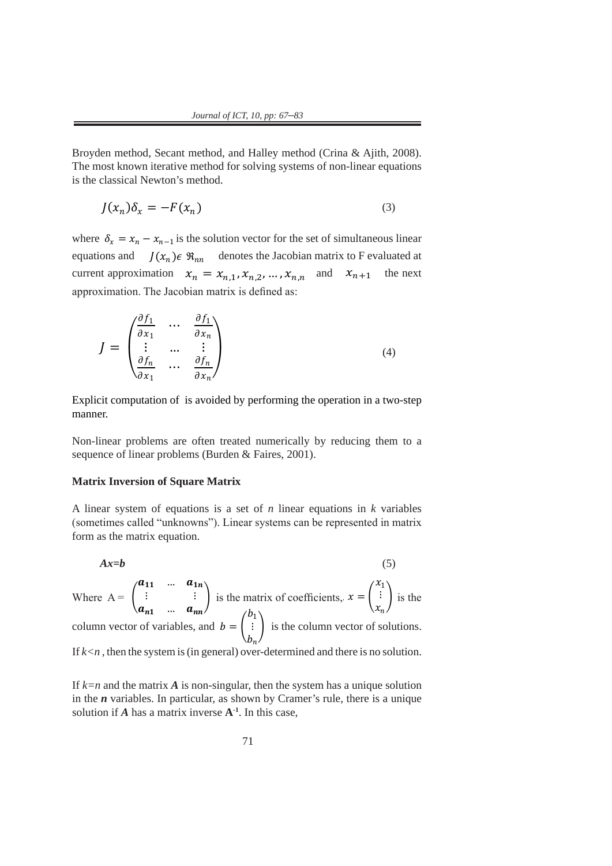Secant method, and Halley method (Crina & Ajith, 2008). The most known iterative

Broyden method, Secant method, and Halley method (Crina & Ajith, 2008). The most known iterative method for solving systems of non-linear equations  $\frac{1}{2}$  is the classical Newton's method. Secant method, and Halley method (Crina & Ajith, 2008). The most known iterative Secant method, and Halley method (Crina & Ajith, 2008). The most known iterative royden method, secant method, and Halley method (Crina & Ajith, 2008). method for solving systems of non-linear equations is the classical Newton's method. method for solving systems of non-linear equations is the classical Newton's method.  $($ 

$$
J(x_n)\delta_x = -F(x_n) \tag{3}
$$

where  $\delta_x = x_n - x_{n-1}$  is the solution vector for the set of simultaneous linear equations and  $J(x_n) \in \mathcal{R}_{nn}$  denotes the Jacobian matrix to F evaluated at current approximation  $x_n = x_{n,1}, x_{n,2}, ..., x_{n,n}$  and  $x_{n+1}$  the next approximation. The Jacobian matrix is defined as: current approximation  $x_n = x_{n,1}, x_{n,2}, ..., x_{n,n}$  and  $x_{n+1}$  the next where  $\delta = r - r$  is the solution vector for the set of simultaneous linear  $\alpha_x - \alpha_n$   $\alpha_{n-1}$  is the solution vector for the set of simulateous finear<br>ne and  $I(x) \in \mathcal{P}$  denotes the Jacobian matrix to F avaluated at matrix is defined as  $\frac{1}{2}$  $\epsilon = x_n - x_{n-1}$  is the solution vector for the set of simultaneous linear

$$
J = \begin{pmatrix} \frac{\partial f_1}{\partial x_1} & \cdots & \frac{\partial f_1}{\partial x_n} \\ \vdots & \cdots & \vdots \\ \frac{\partial f_n}{\partial x_1} & \cdots & \frac{\partial f_n}{\partial x_n} \end{pmatrix}
$$
 (4)

Explicit computation of is avoided by performing the operation in a two-step manner.  $$ Explicit computation of `is avoided by performing the operation in a two-step<br>manner of is avoided by perfort Explicit computation of ′( )′ is avoided by performing the operation in a two-step Explicit computation of ′( )′ is avoided by performing the operation in a two-step  $\mathbf{E}^{(1)}$  is avoided by performing the operation in a two-step  $\mathbf{E}^{(1)}$ 

Non-linear problems are often treated numerically by reducing them to a sequence of linear problems (Burden & Faires, 2001).  $\frac{1}{2}$ 

#### **Matrix Inversion of Square Matrix** linear problems (Burden & Faires, 2001).  $N \rightarrow \text{R}$  problems are often them to a sequence of a sequence of a sequence of a sequence of a sequence of a sequence of  $\mathbf{M}$  a sequence of a sequence of a sequence of a sequence of a sequence of a sequence of a sequ

A linear system of equations is a set of *n* linear equations in *k* variables (sometimes called "unknowns"). Linear systems can be represented in matrix form as the matrix equation. linear problems (Burden & Faires, 2001). linear problems (Burden & Faires, 2001).

$$
Ax = b \tag{5}
$$

Where  $A = \begin{bmatrix} \vdots \\ \vdots \end{bmatrix}$  is the matrix of coefficients,  $x = \begin{bmatrix} \vdots \\ \vdots \end{bmatrix}$  is the column vector of variables, and  $b = \begin{bmatrix} \vdots \end{bmatrix}$  is the column vector of solutions. If  $k < n$ , then the system is (in general) over-determined and there is no solution. Where  $A = \begin{bmatrix} \vdots & \vdots \end{bmatrix}$  is the matrix of coefficients,  $x = \begin{bmatrix} \vdots \end{bmatrix}$  is the Vhere  $A = \begin{bmatrix} \end{bmatrix}$  $a_{11}$  ...  $a_{1n}$  $\ddot{\textbf{i}}$  $a_{n1}$  ...  $a_{nn}$ is the matrix of coefficients,  $x = \vert$  $\sqrt{x}$  $\chi$  $\int$  is the here  $A = \begin{bmatrix} \end{bmatrix}$  $a_{11}$  …  $a_{1n}$  $\mathbf{a} = \mathbf{a}$  $a_{n1}$  …  $a_{nn}$ is the matrix of coefficients,  $x = \vert$  $x_1$ ⋮  $x_n$  $\int$  is the  $\sum_{n=1}^{\infty}$  is the column vector of solutions.  $\langle a_{11} \dots a_{1n} \rangle$  $\left\{ \begin{array}{c} \begin{array}{c} \begin{array}{c} \end{array}\\ \end{array} \right\}$  is the  $\langle x_1 \rangle$  $th<sub>6</sub>$ ector of variables, and  $b = \begin{bmatrix} a & b \end{bmatrix}$  $b_1$ ⋮  $b_n$ is the column vector of solution Where  $A = \begin{bmatrix} \vdots & \vdots \end{bmatrix}$  is the matrix of coefficients  $x = \begin{bmatrix} \vdots \end{bmatrix}$  is the equation.  $\mathbf{a}_{11}$   $\ldots$   $\mathbf{a}_{1n}$   $\ldots$  $\langle a_{n1} \dots a_{nn} \rangle$  is the matrix form as the matrix form as the matrix form as the matrix form as the matrix form as the matrix form as the matrix form as the matrix form as the matrix form as the matrix form as the matrix  $\sum_{n=1}^{\infty}$  $\mathbf{a}_{11}$   $\ldots$   $\mathbf{a}_{1n}$   $\langle x_1 \rangle$  $\langle a_{n1} \dots a_{nn} \rangle$   $\langle x_n \rangle$  $\mathbf{a}_{11}$   $\ldots$   $\mathbf{a}_{1n}$   $($  *X*<sub>1</sub> $)$  $\begin{pmatrix} a_{n1} & \dots & a_{nn} \end{pmatrix}$  is the matrix of connecting,  $\begin{pmatrix} x_n \end{pmatrix}$  with  $\cot \theta$  value

> If *k=n* and the matrix *A* is non-singular, then the system has a unique solution in the  $\bf{n}$  variables. In particular, as shown by Cramer's rule, there is a unique solution if  $A$  has a matrix inverse  $A^{-1}$ . In this case,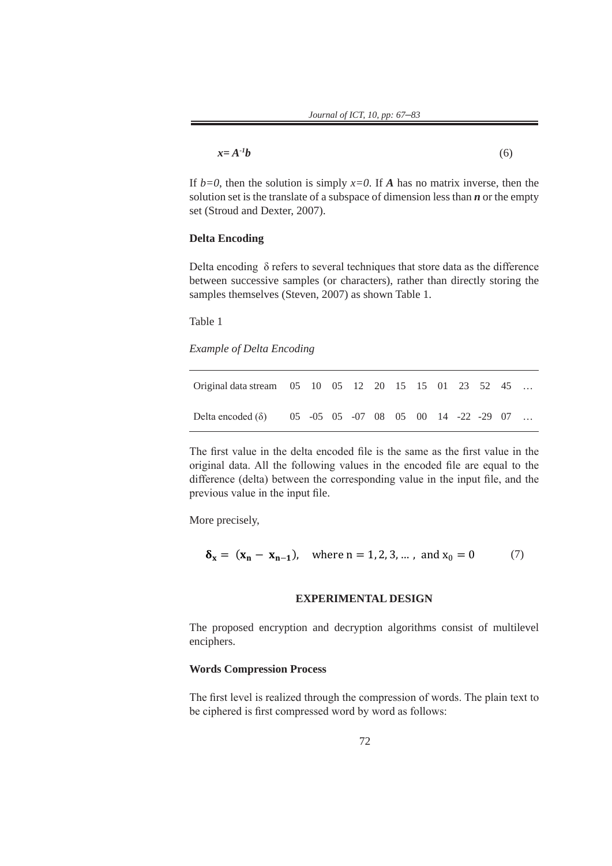| $x = A^{-1}b$ | (6) |
|---------------|-----|
|---------------|-----|

If  $b=0$ , then the solution is simply  $x=0$ . If *A* has no matrix inverse, then the solution set is the translate of a subspace of dimension less than *n* or the empty set (Stroud and Dexter, 2007).

### **Delta Encoding**

Delta encoding  $\delta$  refers to several techniques that store data as the difference between successive samples (or characters), rather than directly storing the samples themselves (Steven, 2007) as shown Table 1.

Table 1

*Example of Delta Encoding*

| Original data stream 05 10 05 12 20 15 15 01 23 52 45           |  |  |  |  |  |  |
|-----------------------------------------------------------------|--|--|--|--|--|--|
| Delta encoded ( $\delta$ ) 05 -05 05 -07 08 05 00 14 -22 -29 07 |  |  |  |  |  |  |

The first value in the delta encoded file is the same as the first value in the original data. All the following values in the encoded file are equal to the difference (delta) between the corresponding value in the input file, and the difference (delta) between the corresponding value in the input file, and the previous value in the input file.  $\mathbf{f}$ 

More precisely, More precisely,

$$
\delta_{x} = (x_{n} - x_{n-1}),
$$
 where  $n = 1, 2, 3, ...$ , and  $x_{0} = 0$  (7)

# **EXPERIMENTAL DESIGN EXPERIMENTAL DESIGN**

The proposed encryption and decryption algorithms consist of multilevel enciphers.

# **Words Compression Process Words Compression Pocess**

The first level is realized through the compression of words. The plain text to be ciphered is first compressed word by word as follows: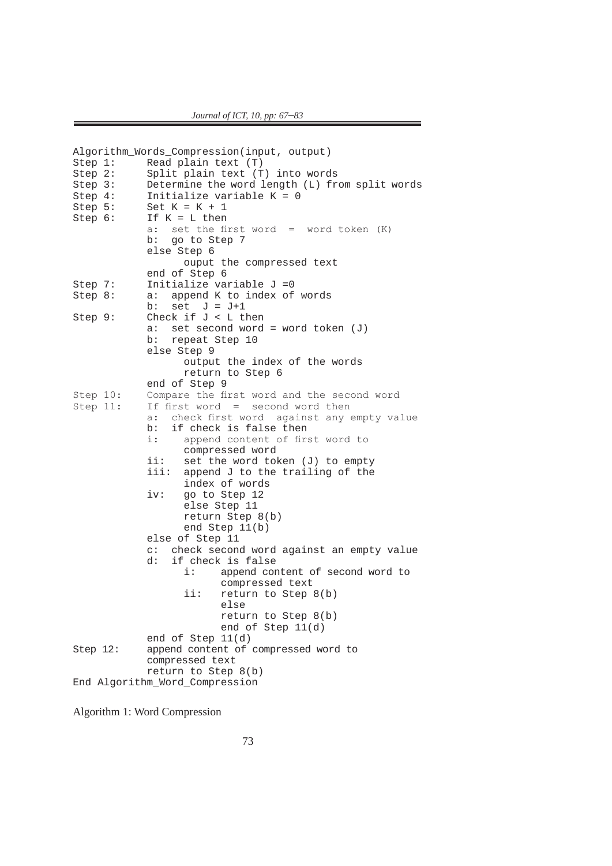```
Algorithm_Words_Compression(input, output)<br>Step 1: Read plain text (T)
Step 1: Read plain text (T)<br>Step 2: Split plain text (T
Step 2: Split plain text (T) into words<br>Step 3: Determine the word length (L) fr
Step 3: Determine the word length (L) from split words<br>Step 4: Initialize variable K = 0Step 4: Initialize variable K = 0<br>Step 5: Set K = K + 1Step 5: Set K = K + 1<br>Step 6: If K = L then
                If K = L then<br>a: set the fi
                     set the first word = word token (K) b: go to Step 7
                  else Step 6
                          ouput the compressed text
end of Step 6<br>Step 7: Initialize va
Step 7: Initialize variable J = 0<br>Step 8: a: append K to index of
                a: append K to index of words
b: set J = J+1Step 9: Check if J < L then
                  a: set second word = word token (J) 
                 b: repeat Step 10
                  else Step 9
                          output the index of the words
                          return to Step 6
end of Step 9<br>Step 10: Compare the fi
Step 10: Compare the first word and the second word<br>Step 11: If first word = second word then
                 If first word = second word then
                a: check first word against any empty value<br>b: if check is false then
                 b: if check is false then<br>i: append content of fir
                         append content of first word to
                 compressed word<br>ii: set the word to
                 ii: set the word token (J) to empty<br>iii: append J to the trailing of the
                         append J to the trailing of the
                 index of words<br>iv: go to Step 12
                         go to Step 12
                          else Step 11
                          return Step 8(b)
                          end Step 11(b)
                  else of Step 11
                c: check second word against an empty value<br>d: if check is false
                      if check is false<br>i: append com
                                 append content of second word to
                         compressed text<br>ii: return to Step
                                 return to Step 8(b) else
                                  return to Step 8(b)
                                  end of Step 11(d)
end of Step 11(d)<br>Step 12: append content of
                 append content of compressed word to
                  compressed text
                  return to Step 8(b)
End Algorithm_Word_Compression
```

```
Algorithm 1: Word Compression
```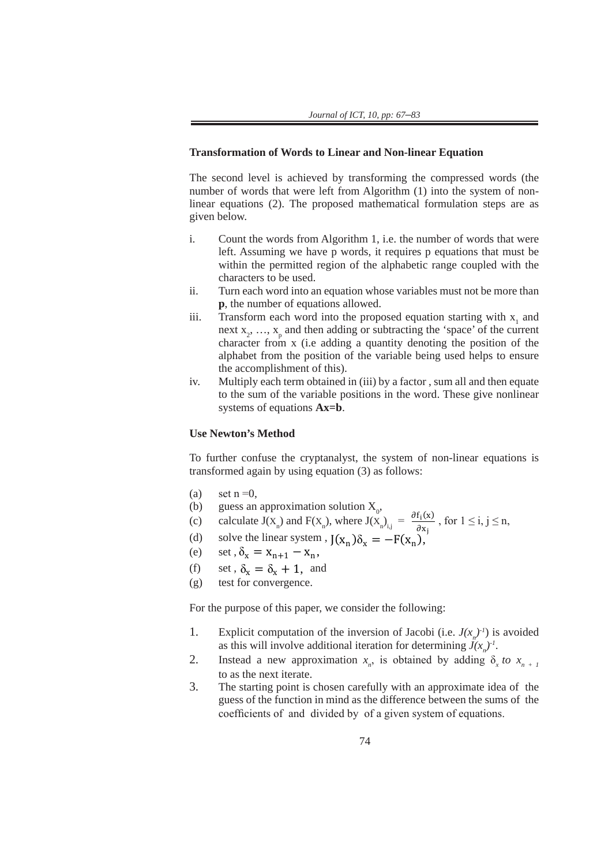### **Transformation of Words to Linear and Non-linear Equation**

The second level is achieved by transforming the compressed words (the number of words that were left from Algorithm (1) into the system of non $l$  linear equations (2). The proposed mathematical formulation steps are as given below.  $\overline{a}$ The second level is achieved by transforming the compressed words (the  $\alpha$  of  $\alpha$  and  $\alpha$ ) is to the variable of  $\alpha$  and  $\frac{1}{2}$  complement of the third of the third of the third of the third of the third of the third of the third of the third of the third of the third of the third of the third of the third of the third of the third of th  $\sum_{n=1}^{\infty}$  also the position of the variable property the compressed words (the  $\frac{1}{2}$  and  $\frac{1}{2}$  of words that were given below.

- i. Count the words from Algorithm 1, i.e. the number of words that were 1. Count the words from Algorithm 1, i.e. the number of words that were left. Assuming we have p words, it requires p equations that must be within the permitted region of the alphabetic range coupled with the characters to be used. widn't diversity perfinition regions of the used. iv. Multiply each term obtained in (iii) by a factor  $\alpha$  factor  $\alpha$ left. Assuming we have p words, it requires p equations that must be to the sum of the variable positions in the sum of the word. The words in the word. The sum of  $\frac{1}{2}$  is non
	- to the sum of the sum of the sum of the variables must not be more than<br>i. Turn each word into an equation whose variables must not be more than **p**, the number of equations allowed.
- iii. Transform each word into the proposed equation starting with  $x_1$  and next  $x_2, \ldots, x_p$  and then adding or subtracting the 'space' of the current character from x (i.e adding a quantity denoting the position of the alphabet from the position of the variable being used helps to ensure the accomplishment of this). USE USE New
- iv. Multiply each term obtained in (iii) by a factor, sum all and then equate  $\frac{1}{2}$ to the sum of the variable positions in the word. These give nonlinear systems of equations  $Ax=b$ . systems of equations  $\epsilon$

## Use Newton's Method  $\overline{\phantom{a}}$

To further confuse the cryptanalyst, the system of non-linear equations is transformed again by using equation  $(3)$  as follows:

- (a) set  $n = 0$ , (a) set  $n = 0$ , (c) calculate  $\int$  calculate J(xn) and F(x)i,j  $\int$  (x)i,j  $\int$  (x)i,j  $\int$  (x)i,j  $\int$  (x)i,j  $\int$  (x)i,j  $\int$  (x)i,j  $\int$  (x)i,j  $\int$  (x)i,j  $\int$  (x)i,j  $\int$  (x)i,j  $\int$  (x)i,j  $\int$  (x)i,j  $\int$  (x)i,j  $\int$  (x)i,j  $\int$  (
	- (b) guess an approximation solution  $X_0$ , (a) set n –0,<br>
	(b) guess an approximation solution  $X_0$ ,<br>  $\partial f_i(x) = 1 \le i \le k$ (d) solved the linear system  $\Lambda_0$ ,<br>b) solved to  $I(x)$ , and  $F(x)$ , where  $I(x) = \frac{\partial f_i(x)}{\partial x}$
- (c) calculate  $J(X_n)$  and  $F(X_n)$ , where  $J(X_n)_{i,j} = \frac{\partial I_1(X)}{\partial x_j}$ , for  $1 \le i, j \le n$ , (c) calculate  $J(X_n)$  and  $F(X_n)$ , where  $J(X_n)_{i,j} = \frac{\partial f_i(x)}{\partial x_j}$ , for  $1 \le i, j \le n$ , (c) calculate  $J(X_n)$  and  $F(X_n)$ , where  $J(X_n)_{i,j} = \frac{J(X_n)}{\partial x_i}$ 
	- (d) solve the linear system ,  $J(x_n)\delta_x = -F(x_n)$ ,
- (e) set  $,\delta_x = x_{n+1} x_n$ ,
	- (f) set,  $\delta_{x} = \delta_{x} + 1$ , and
- (g) test for convergence.

For the purpose of this paper, we consider the following:  $\sum_{n=1}^{\infty}$  for the numerical of this near For the purpose of this paper, (g) test for convergence.

- 1. Explicit computation of the inversion of Jacobi (i.e.  $J(x_n)^{-1}$ ) is avoided as this will involve additional iteration for determining  $J(x_n)^{-1}$ . For the purpose of the purpose of the purpose of the paper of the following:  $\frac{1}{1}$  Evolicit computation of the inversion of Leephi (i.e.
- 2. Instead a new approximation  $x_n$ , is obtained by adding  $\delta_x$  *to*  $x_{n+1}$ to as the next iterate. 2. Instead a new approximation  $x_n$ , is obtained by adding  $\delta_x$  *to*  $x_{n+1}$  to as the next iterate 1. Explicit computation of the interaction of the interaction of  $\alpha_{n}$ ,  $\beta_{n}$  *(* $\alpha_{n}$ *)* is avoided by adding  $\delta_{n}$  *to*  $x_{n}$ , *i*
- 3. The starting point is chosen carefully with an approximate idea of the S. The stating point is chosen carefully with an approximate idea of the<br>guess of the function in mind as the difference between the sums of the coefficients of and divided by of a given system of equations.  $2.$  Instead a new approximation  $\mathcal{L}$  and  $\mathcal{L}$  as the total by adding  $\mathcal{L}$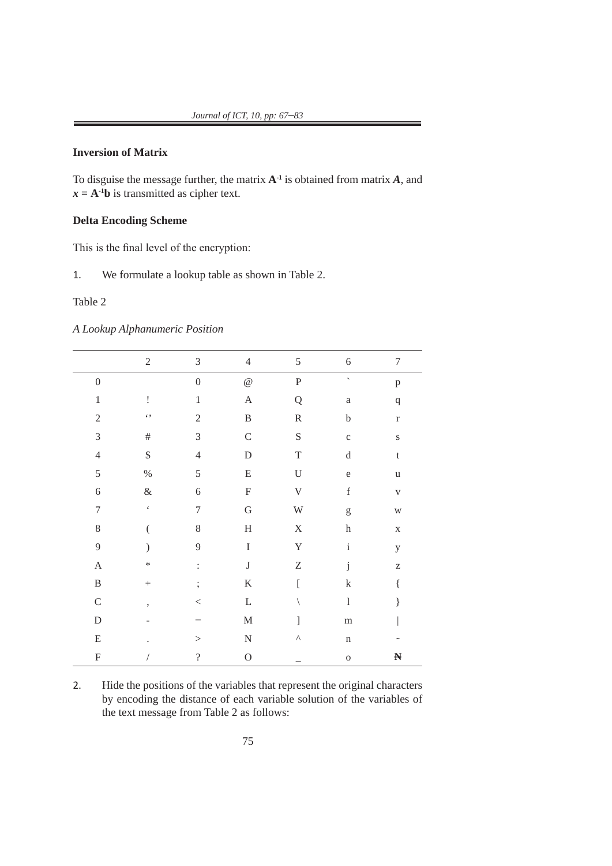## **Inversion of Matrix**

To disguise the message further, the matrix **A-1** is obtained from matrix *A*, and  $x = A^{-1}b$  is transmitted as cipher text.

### **Delta Encoding Scheme**

This is the final level of the encryption:

1. We formulate a lookup table as shown in Table 2.

### Table 2

*A Lookup Alphanumeric Position*

|                  | $\sqrt{2}$           | $\mathfrak{Z}$           | $\overline{4}$        | 5                         | 6                                                                                                                                                                                                                                                                                                                                                                                                                              | $\boldsymbol{7}$        |
|------------------|----------------------|--------------------------|-----------------------|---------------------------|--------------------------------------------------------------------------------------------------------------------------------------------------------------------------------------------------------------------------------------------------------------------------------------------------------------------------------------------------------------------------------------------------------------------------------|-------------------------|
| $\boldsymbol{0}$ |                      | $\boldsymbol{0}$         | $\mathcal Q$          | $\mathbf P$               | $\overline{\phantom{a}}$                                                                                                                                                                                                                                                                                                                                                                                                       | $\, {\bf p}$            |
| $\mathbf 1$      | İ                    | $\,1\,$                  | $\boldsymbol{\rm{A}}$ | ${\bf Q}$                 | $\rm{a}$                                                                                                                                                                                                                                                                                                                                                                                                                       | $\mathbf q$             |
| $\sqrt{2}$       | $\zeta$ ,            | $\sqrt{2}$               | $\, {\bf B}$          | ${\mathbf R}$             | $\mathbf b$                                                                                                                                                                                                                                                                                                                                                                                                                    | $\mathbf r$             |
| $\mathfrak{Z}$   | $\#$                 | $\mathfrak{Z}$           | $\mathsf C$           | ${\mathbf S}$             | $\mathbf C$                                                                                                                                                                                                                                                                                                                                                                                                                    | ${\bf S}$               |
| $\overline{4}$   | $\boldsymbol{\$}$    | $\overline{4}$           | ${\rm D}$             | $\mathbf T$               | ${\rm d}$                                                                                                                                                                                                                                                                                                                                                                                                                      | $\mathbf t$             |
| $\mathfrak s$    | $\%$                 | 5                        | ${\bf E}$             | $\mathbf U$               | $\mathbf e$                                                                                                                                                                                                                                                                                                                                                                                                                    | $\mathbf u$             |
| $\overline{6}$   | $\&$                 | 6                        | ${\bf F}$             | $\ensuremath{\mathsf{V}}$ | $\mathbf f$                                                                                                                                                                                                                                                                                                                                                                                                                    | $\mathbf{V}$            |
| $\sqrt{ }$       | $\boldsymbol{\zeta}$ | $\overline{7}$           | ${\bf G}$             | $\ensuremath{\text{W}}$   | $\mathbf{g}% _{T}=\mathbf{g}_{T}=\mathbf{g}_{T}=\mathbf{g}_{T}=\mathbf{g}_{T}=\mathbf{g}_{T}=\mathbf{g}_{T}=\mathbf{g}_{T}=\mathbf{g}_{T}=\mathbf{g}_{T}=\mathbf{g}_{T}=\mathbf{g}_{T}=\mathbf{g}_{T}=\mathbf{g}_{T}=\mathbf{g}_{T}=\mathbf{g}_{T}=\mathbf{g}_{T}=\mathbf{g}_{T}=\mathbf{g}_{T}=\mathbf{g}_{T}=\mathbf{g}_{T}=\mathbf{g}_{T}=\mathbf{g}_{T}=\mathbf{g}_{T}=\mathbf{g}_{T}=\mathbf{g}_{T}=\mathbf{g}_{T}=\math$ | $\ensuremath{\text{W}}$ |
| $\,8$            |                      | 8                        | $\rm H$               | $\mathbf X$               | $\,h$                                                                                                                                                                                                                                                                                                                                                                                                                          | $\mathbf X$             |
| 9                |                      | 9                        | $\rm I$               | $\mathbf Y$               | $\rm i$                                                                                                                                                                                                                                                                                                                                                                                                                        | $\mathbf y$             |
| $\boldsymbol{A}$ | *                    | $\ddot{\cdot}$           | $\bf J$               | $\ensuremath{\mathbf{Z}}$ | $\rm j$                                                                                                                                                                                                                                                                                                                                                                                                                        | $\rm{Z}$                |
| $\, {\bf B}$     |                      | $\frac{1}{2}$            | $\rm K$               | $\Gamma$                  | $\mathbf k$                                                                                                                                                                                                                                                                                                                                                                                                                    | $\{$                    |
| $\mathbf C$      | ,                    | $\,<$                    | $\mathbf L$           |                           | $\,$ $\,$                                                                                                                                                                                                                                                                                                                                                                                                                      | }                       |
| ${\mathcal{D}}$  |                      | $=$                      | $\mathbf M$           | 1                         | ${\rm m}$                                                                                                                                                                                                                                                                                                                                                                                                                      |                         |
| ${\bf E}$        |                      | $\,>$                    | ${\bf N}$             | Λ                         | $\mathbf n$                                                                                                                                                                                                                                                                                                                                                                                                                    |                         |
| ${\bf F}$        |                      | $\overline{\mathcal{L}}$ | $\mathcal{O}$         |                           | $\rm{O}$                                                                                                                                                                                                                                                                                                                                                                                                                       | N                       |

2. Hide the positions of the variables that represent the original characters by encoding the distance of each variable solution of the variables of the text message from Table 2 as follows: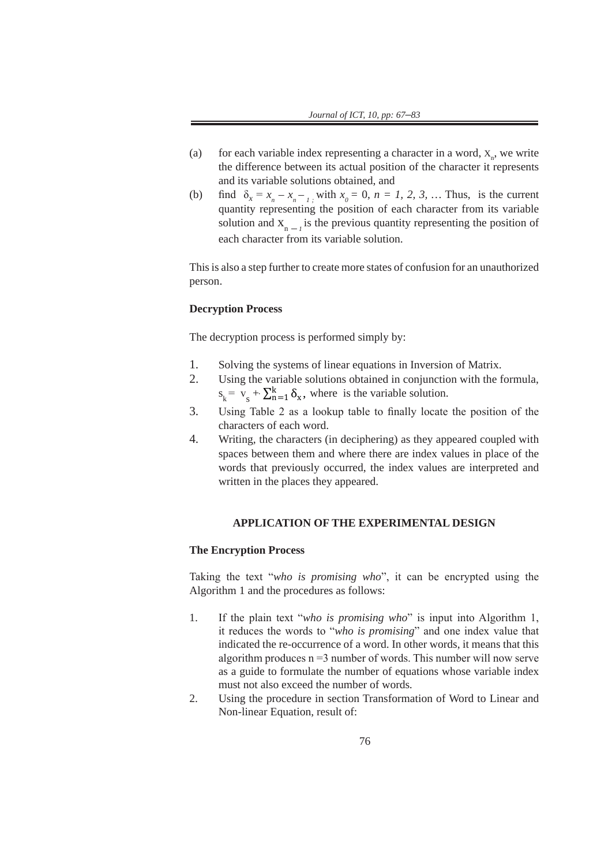- (a) for each variable index representing a character in a word,  $X_n$ , we write the difference between its actual position of the character it represents and its variable solutions obtained, and
- (b) find  $\delta_x = x_n x_{n-1}$ , with  $x_0 = 0$ ,  $n = 1, 2, 3, ...$  Thus, is the current quantity representing the position of each character from its variable solution and  $X_{n}$ <sub>n</sub> is the previous quantity representing the position of each character from its variable solution.

This is also a step further to create more states of confusion for an unauthorized person.

## Decryption Process

The decryption process is performed simply by:

- 1. Solving the systems of linear equations in Inversion of Matrix.
	- 2. Using the variable solutions obtained in conjunction with the formula,  $s_k = v_s + \sum_{n=1}^{k} \delta_{x}$ , where is the variable solution.
- 3. Using Table 2 as a lookup table to finally locate the position of the characters of each word.
- 4. Writing, the characters (in deciphering) as they appeared coupled with spaces between them and where there are index values in place of the words that previously occurred, the index values are interpreted and written in the places they appeared.

### **APPLICATION OF THE EXPERIMENTAL DESIGN**

### **The Encryption Process**

Taking the text "*who is promising who*", it can be encrypted using the Algorithm 1 and the procedures as follows:

- 1. If the plain text "*who is promising who*" is input into Algorithm 1, it reduces the words to "*who is promising*" and one index value that indicated the re-occurrence of a word. In other words, it means that this algorithm produces  $n = 3$  number of words. This number will now serve as a guide to formulate the number of equations whose variable index must not also exceed the number of words*.*
- 2. Using the procedure in section Transformation of Word to Linear and Non-linear Equation, result of: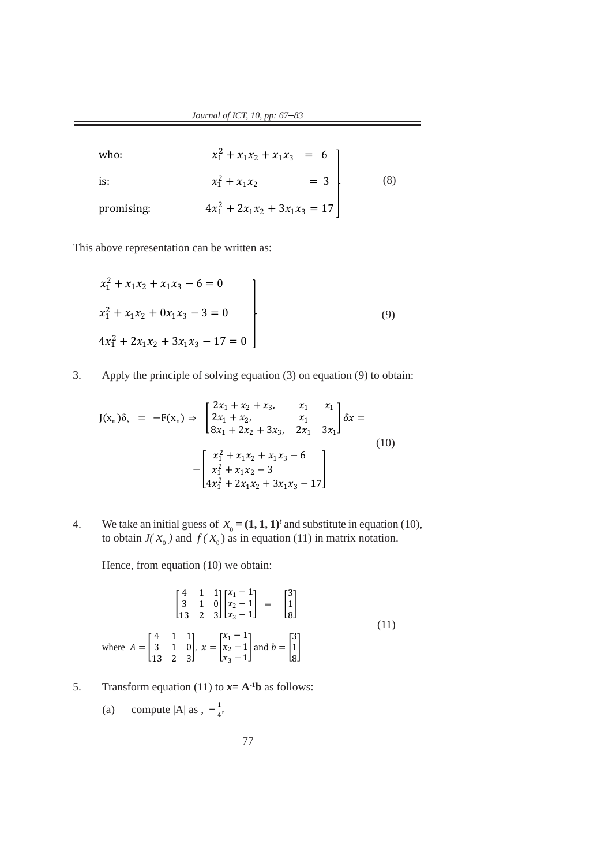$Journal of ICT, 10, pp: 67–83$ 

is:  $x_1^2 + x_1 x_2 = 3$  (8) who:  $x_1^2 + x_1x_2 + x_1x_3 = 6$ is:  $x_1^2 + x_1 x_2 = 3$  (8) promising:  $x_1^2 + 2x_1x_2 + 3x_1x_3 = 17$  $\frac{1}{2}$  $\frac{1}{2}$  +  $\frac{1}{2}$  $\frac{1}{2}$  $\overline{2}$  $\overline{a}$   $\overline{a}$   $\overline{a}$   $\overline{a}$   $\overline{a}$   $\overline{a}$   $\overline{a}$   $\overline{a}$   $\overline{a}$   $\overline{a}$   $\overline{a}$   $\overline{a}$   $\overline{a}$   $\overline{a}$   $\overline{a}$   $\overline{a}$   $\overline{a}$   $\overline{a}$   $\overline{a}$   $\overline{a}$   $\overline{a}$   $\overline{a}$   $\overline{a}$   $\overline{a}$   $\overline{$ where  $\mathcal{L}_{\mathcal{A}}$  is the set of  $\mathcal{L}_{\mathcal{A}}$  $\overline{\phantom{a}}$  is: <sup>1</sup>  $2 \times 3 = 3$ who: 1990 and 1990 and 1990 and 1990 and 1990 and 1990 and 1990 and 1990 and 1990 and 1990 and 1990 and 1990 a<br>The 1990 and 1990 and 1990 and 1990 and 1990 and 1990 and 1990 and 1990 and 1990 and 1990 and 1990 and 1990 an  $2 + 2$ is: 1990 and 1990 and 1990 and 1990 and 1990 and 1990 and 1990 and 1990 and 1990 and 1990 and 1990 and 1990 an<br>Istorical Communication and 1990 and 1990 and 1990 and 1990 and 1990 and 1990 and 1990 and 1990 and 1990 and 1  $2 + 3 + 2 = 13$  $\frac{1}{2}$  +  $\frac{1}{2}$  +  $\frac{1}{2}$  = 6  $\mu$ .  $\mu$  $x_1 + 2x_1x_2 + 3x_1x_3 - 1$  $\frac{1}{2}$   $\frac{1}{2}$  $\frac{1}{1}$  $2\lambda_1 + 2\lambda_2 + 3\lambda_1\lambda_3 = 1$ 

This above representation can be written as:  $\mathbf{I}$ 

linear Equation, result of:

words*.*

words*.*

$$
x_1^2 + x_1 x_2 + x_1 x_3 - 6 = 0
$$
  
\n
$$
x_1^2 + x_1 x_2 + 0 x_1 x_3 - 3 = 0
$$
  
\n
$$
4x_1^2 + 2x_1 x_2 + 3x_1 x_3 - 17 = 0
$$
\n(9)

3. Apply the principle of solving equation (3) on equation (9) to obtain:  $\overline{3}$  and principle of solving equation (3) on equation (9) to obtain 3. Apply the principle of solving equation (3) on equation  $(9)$ 

$$
J(x_n)\delta_x = -F(x_n) \Rightarrow \begin{bmatrix} 2x_1 + x_2 + x_3, & x_1 & x_1 \\ 2x_1 + x_2, & x_1 & x_1 \\ 8x_1 + 2x_2 + 3x_3, & 2x_1 & 3x_1 \end{bmatrix} \delta x =
$$
  

$$
-\begin{bmatrix} x_1^2 + x_1x_2 + x_1x_3 - 6 \\ x_1^2 + x_1x_2 - 3 \\ 4x_1^2 + 2x_1x_2 + 3x_1x_3 - 17 \end{bmatrix}
$$
 (10)

4. We take an initial guess of  $x_0 = (1, 1, 1)^t$  and substitute in equation (10), to obtain  $J(X_0)$  and  $f(X_0)$  as in equation (11) in matrix notation.

Hence, from equation (10) we obtain: Hence, from equation (10) we obtain:

$$
\begin{bmatrix} 4 & 1 & 1 \ 3 & 1 & 0 \ 13 & 2 & 3 \end{bmatrix} \begin{bmatrix} x_1 - 1 \ x_2 - 1 \ x_3 - 1 \end{bmatrix} = \begin{bmatrix} 3 \ 1 \ 8 \end{bmatrix}
$$
  
where  $A = \begin{bmatrix} 4 & 1 & 1 \ 3 & 1 & 0 \ 13 & 2 & 3 \end{bmatrix}$ ,  $x = \begin{bmatrix} x_1 - 1 \ x_2 - 1 \ x_3 - 1 \end{bmatrix}$  and  $b = \begin{bmatrix} 3 \ 1 \ 8 \end{bmatrix}$  (11)

5. Transform equation (11) to  $x = A^{-1}b$  as follows: 5. Transform equation (11) to  $x = A^{-1}b$  as follows:

(a) compute 
$$
|A|
$$
 as,  $-\frac{1}{4}$ ,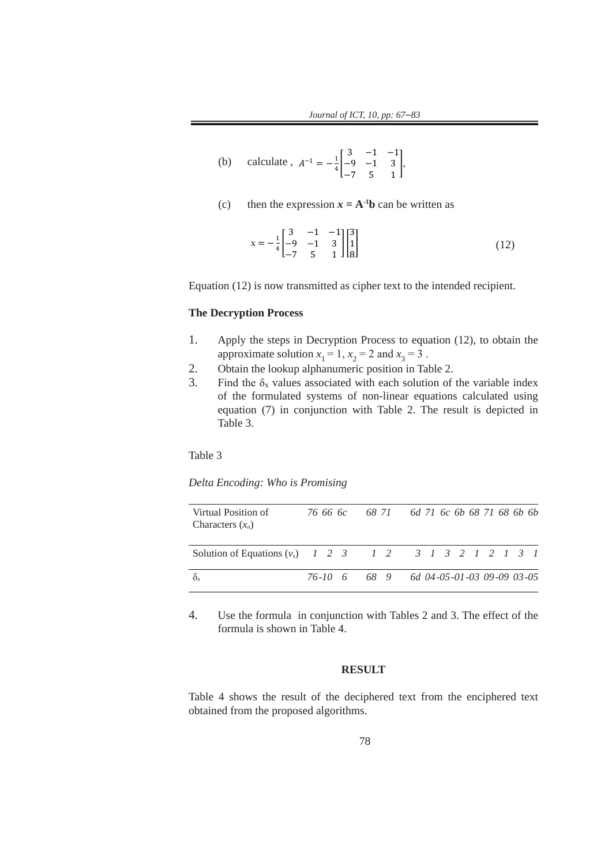(b) calculate,  $A^{-1} = -\frac{1}{4}$ 3 −1 −1 −9 −1 3 −7 5 1  $\vert$ ,  $\binom{4}{-7}$  5  $\overline{a}$ 

(a) compute |A| as − <sup>1</sup>

(c) then the expression  $x = A^{-1}b$  can be written as

$$
x = -\frac{1}{4} \begin{bmatrix} 3 & -1 & -1 \\ -9 & -1 & 3 \\ -7 & 5 & 1 \end{bmatrix} \begin{bmatrix} 3 \\ 1 \\ 8 \end{bmatrix}
$$
 (12)

Equation (12) is now transmitted as cipher text to the intended recipient.

#### **The Decryption Process The Decryption Process** 1. Apply the steps in Decryption Process to equation (12), to obtain the

- 1. Apply the steps in Decryption Process to equation (12), to obtain the  $\frac{1}{2}$ approximate solution  $x_1 = 1$ ,  $x_2 = 2$  and  $x_3 = 3$ .
- 2. Obtain the lookup alphanumeric position in Table 2.
- 3. Find the  $\delta_x$  values associated with each solution of the variable index  $\frac{1}{2}$  ind the  $\sigma_x$  values associated with each solution of the variable index of the formulated systems of non-linear equations calculated using equation  $(7)$  in conjunction with Table 2. The result is depicted in Table 3.  $f(1)$  and  $f(2)$  in  $f(3)$  in  $f(5)$  in  $f(7)$  in  $f(7)$  in  $f(7)$  in  $f(7)$  in  $f(7)$  in  $f(7)$  in  $f(7)$  in  $f(7)$  in  $f(7)$  in  $f(7)$  in  $f(7)$  in  $f(7)$  in  $f(7)$  in  $f(7)$  in  $f(7)$  in  $f(7)$  in  $f(7)$  in  $f(7)$  in

Table 3  $\overline{a}$ 

*Delta Encoding: Who is Promising*

| Virtual Position of<br>Characters $(x_n)$                 |  | 76 66 6c 68 71 6d 71 6c 6b 68 71 68 6b 6b |  |  |  |  |  |
|-----------------------------------------------------------|--|-------------------------------------------|--|--|--|--|--|
| Solution of Equations $(v_5)$ 1 2 3 1 2 3 1 3 2 1 2 1 3 1 |  |                                           |  |  |  |  |  |
| $\delta_{x}$                                              |  | 76-10 6 68 9 6d 04-05-01-03 09-09 03-05   |  |  |  |  |  |

4. Use the formula in conjunction with Tables 2 and 3. The effect of the formula is shown in Table 4.

### **RESULT**

Table 4 shows the result of the deciphered text from the enciphered text obtained from the proposed algorithms.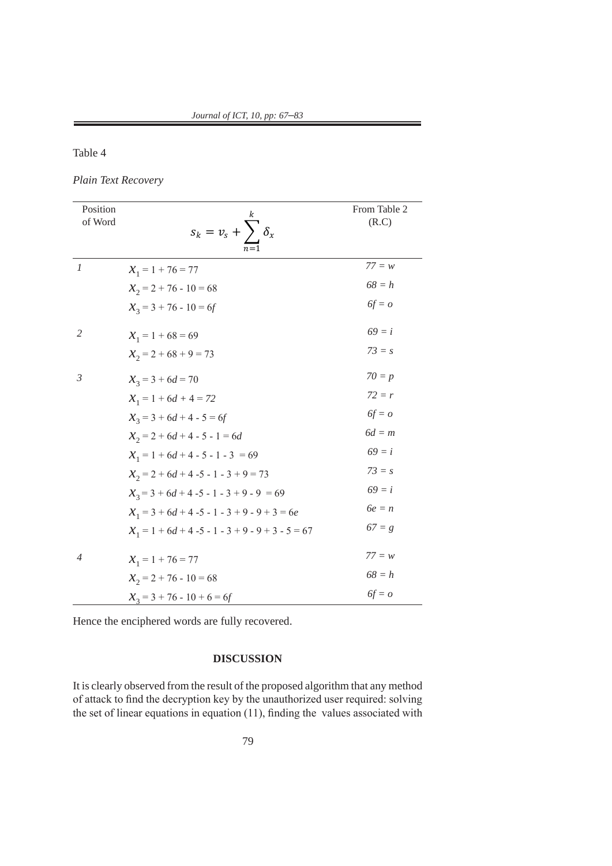Table 4

*Plain Text Recovery Plain text Recovery*

| Position<br>of Word | $s_k = v_s + \sum \delta_x$                         | From Table 2<br>(R.C) |
|---------------------|-----------------------------------------------------|-----------------------|
| $\boldsymbol{l}$    | $X_1 = 1 + 76 = 77$                                 | $77 = w$              |
|                     | $\mathcal{X}_2 = 2 + 76 - 10 = 68$                  | $68 = h$              |
|                     | $X_3 = 3 + 76 - 10 = 6f$                            | $6f = o$              |
| $\mathfrak{2}$      | $X_1 = 1 + 68 = 69$                                 | $69 = i$              |
|                     | $\mathcal{X}_2 = 2 + 68 + 9 = 73$                   | $73 = s$              |
| $\mathfrak{Z}$      | $x_3 = 3 + 6d = 70$                                 | $70 = p$              |
|                     | $X_1 = 1 + 6d + 4 = 72$                             | $72 = r$              |
|                     | $x_3 = 3 + 6d + 4 - 5 = 6f$                         | $6f = o$              |
|                     | $x_2 = 2 + 6d + 4 - 5 - 1 = 6d$                     | $6d = m$              |
|                     | $X_1 = 1 + 6d + 4 - 5 - 1 - 3 = 69$                 | $69 = i$              |
|                     | $\mathcal{X}_2 = 2 + 6d + 4 - 5 - 1 - 3 + 9 = 73$   | $73 = s$              |
|                     | $x_3 = 3 + 6d + 4 - 5 - 1 - 3 + 9 - 9 = 69$         | $69 = i$              |
|                     | $X_1 = 3 + 6d + 4 - 5 - 1 - 3 + 9 - 9 + 3 = 6e$     | $6e = n$              |
|                     | $X_1 = 1 + 6d + 4 - 5 - 1 - 3 + 9 - 9 + 3 - 5 = 67$ | $67 = g$              |
| $\overline{4}$      | $X_1 = 1 + 76 = 77$                                 | $77 = w$              |
|                     | $\mathcal{X}_2 = 2 + 76 - 10 = 68$                  | $68 = h$              |
|                     | $\mathcal{X}_3 = 3 + 76 - 10 + 6 = 6f$              | $6f = o$              |

Hence the enciphered words are fully recovered.

### **DISCUSSION**

It is clearly observed from the result of the proposed algorithm that any method of attack to find the decryption key by the unauthorized user required: solving the set of linear equations in equation (11), finding the values associated with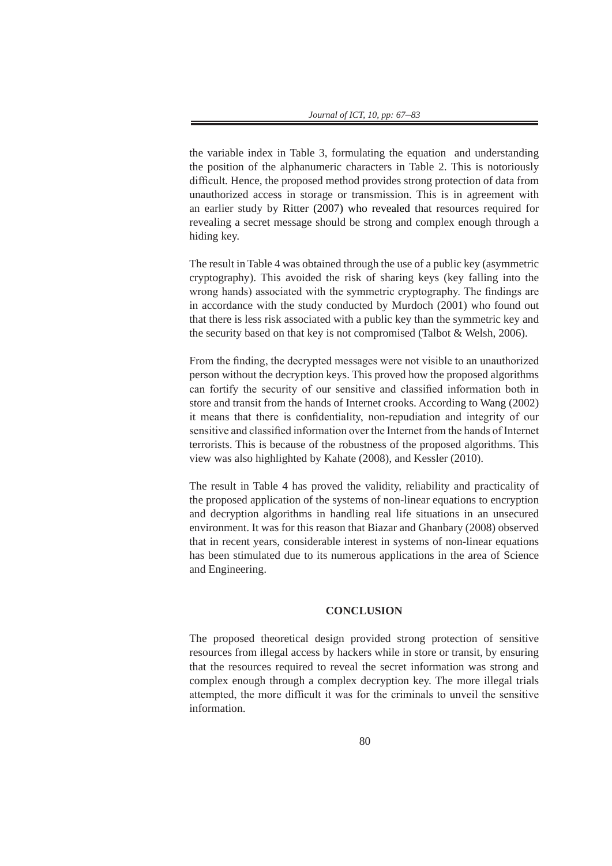the variable index in Table 3, formulating the equation and understanding the position of the alphanumeric characters in Table 2. This is notoriously difficult*.* Hence, the proposed method provides strong protection of data from unauthorized access in storage or transmission. This is in agreement with an earlier study by Ritter (2007) who revealed that resources required for revealing a secret message should be strong and complex enough through a hiding key.

The result in Table 4 was obtained through the use of a public key (asymmetric cryptography). This avoided the risk of sharing keys (key falling into the wrong hands) associated with the symmetric cryptography. The findings are in accordance with the study conducted by Murdoch (2001) who found out that there is less risk associated with a public key than the symmetric key and the security based on that key is not compromised (Talbot & Welsh, 2006).

From the finding, the decrypted messages were not visible to an unauthorized person without the decryption keys. This proved how the proposed algorithms can fortify the security of our sensitive and classified information both in store and transit from the hands of Internet crooks. According to Wang (2002) it means that there is confidentiality, non-repudiation and integrity of our sensitive and classified information over the Internet from the hands of Internet terrorists. This is because of the robustness of the proposed algorithms. This view was also highlighted by Kahate (2008), and Kessler (2010).

The result in Table 4 has proved the validity, reliability and practicality of the proposed application of the systems of non-linear equations to encryption and decryption algorithms in handling real life situations in an unsecured environment. It was for this reason that Biazar and Ghanbary (2008) observed that in recent years, considerable interest in systems of non-linear equations has been stimulated due to its numerous applications in the area of Science and Engineering.

#### **CONCLUSION**

The proposed theoretical design provided strong protection of sensitive resources from illegal access by hackers while in store or transit, by ensuring that the resources required to reveal the secret information was strong and complex enough through a complex decryption key. The more illegal trials attempted, the more difficult it was for the criminals to unveil the sensitive information.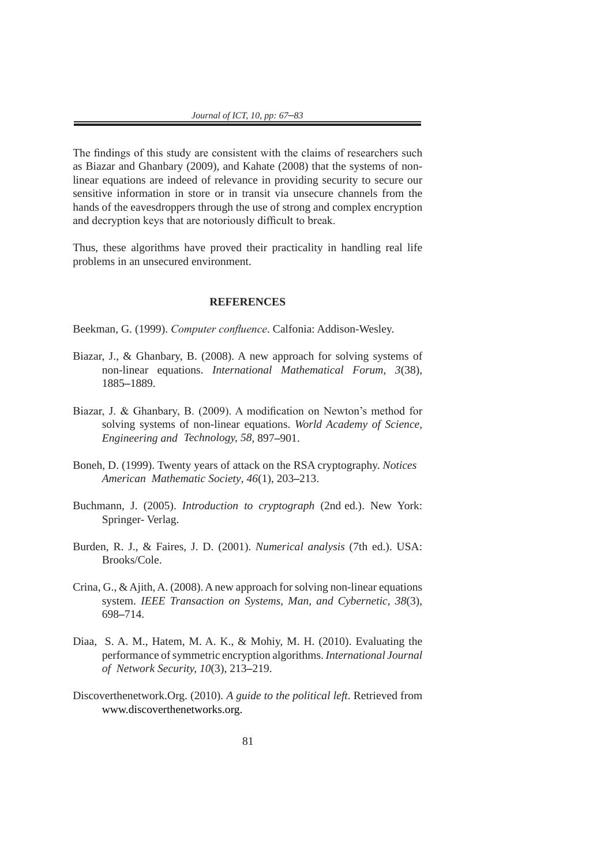The findings of this study are consistent with the claims of researchers such as Biazar and Ghanbary (2009), and Kahate (2008) that the systems of nonlinear equations are indeed of relevance in providing security to secure our sensitive information in store or in transit via unsecure channels from the hands of the eavesdroppers through the use of strong and complex encryption and decryption keys that are notoriously difficult to break.

Thus, these algorithms have proved their practicality in handling real life problems in an unsecured environment.

#### **REFERENCES**

Beekman, G. (1999). *Computer confluence*. Calfonia: Addison-Wesley.

- Biazar, J., & Ghanbary, B. (2008). A new approach for solving systems of non-linear equations. *International Mathematical Forum, 3*(38), 1885**–**1889.
- Biazar, J. & Ghanbary, B. (2009). A modification on Newton's method for solving systems of non-linear equations. *World Academy of Science, Engineering and Technology, 58*, 897**–**901.
- Boneh, D. (1999). Twenty years of attack on the RSA cryptography. *Notices American Mathematic Society*, *46*(1), 203**–**213.
- Buchmann, J. (2005). *Introduction to cryptograph* (2nd ed.). New York: Springer- Verlag.
- Burden, R. J., & Faires, J. D. (2001). *Numerical analysis* (7th ed.). USA: Brooks/Cole.
- Crina, G., & Ajith, A. (2008). A new approach for solving non-linear equations system. *IEEE Transaction on Systems, Man, and Cybernetic*, *38*(3), 698**–**714.
- Diaa, S. A. M., Hatem, M. A. K., & Mohiy, M. H. (2010). Evaluating the performance of symmetric encryption algorithms. *International Journal of Network Security, 10*(3), 213**–**219.
- Discoverthenetwork.Org. (2010). *A guide to the political left*. Retrieved from www.discoverthenetworks.org.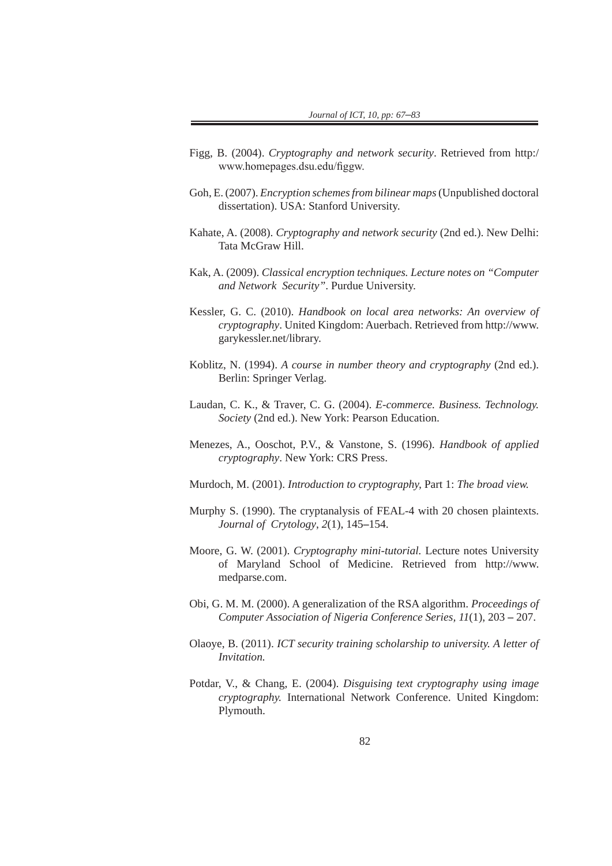- Figg, B. (2004). *Cryptography and network security*. Retrieved from http:/ www.homepages.dsu.edu/figgw.
- Goh, E. (2007). *Encryption schemes from bilinear maps* (Unpublished doctoral dissertation). USA: Stanford University.
- Kahate, A. (2008). *Cryptography and network security* (2nd ed.). New Delhi: Tata McGraw Hill.
- Kak, A. (2009). *Classical encryption techniques. Lecture notes on "Computer and Network Security"*. Purdue University.
- Kessler, G. C. (2010). *Handbook on local area networks: An overview of cryptography*. United Kingdom: Auerbach. Retrieved from http://www. garykessler.net/library.
- Koblitz, N. (1994). *A course in number theory and cryptography* (2nd ed.). Berlin: Springer Verlag.
- Laudan, C. K., & Traver, C. G. (2004). *E-commerce. Business. Technology. Society* (2nd ed.). New York: Pearson Education.
- Menezes, A., Ooschot, P.V., & Vanstone, S. (1996). *Handbook of applied cryptography*. New York: CRS Press.
- Murdoch, M. (2001). *Introduction to cryptography,* Part 1: *The broad view.*
- Murphy S. (1990). The cryptanalysis of FEAL-4 with 20 chosen plaintexts. *Journal of Crytology*, *2*(1), 145**–**154.
- Moore, G. W. (2001). *Cryptography mini-tutorial.* Lecture notes University of Maryland School of Medicine. Retrieved from http://www. medparse.com.
- Obi, G. M. M. (2000). A generalization of the RSA algorithm. *Proceedings of Computer Association of Nigeria Conference Series, 11*(1), 203 **–** 207.
- Olaoye, B. (2011). *ICT security training scholarship to university. A letter of Invitation.*
- Potdar, V., & Chang, E. (2004). *Disguising text cryptography using image cryptography.* International Network Conference. United Kingdom: Plymouth.